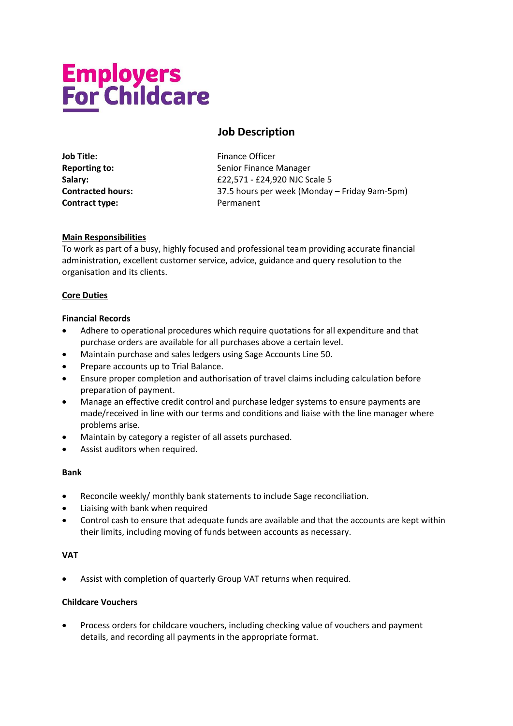# **Employers<br>For Childcare**

## **Job Description**

**Job Title:** Finance Officer **Contract type:** Permanent

**Reporting to:** Senior Finance Manager **Salary:**  $£22,571 - £24,920$  NJC Scale 5 **Contracted hours:** 37.5 hours per week (Monday – Friday 9am-5pm)

### **Main Responsibilities**

To work as part of a busy, highly focused and professional team providing accurate financial administration, excellent customer service, advice, guidance and query resolution to the organisation and its clients.

### **Core Duties**

### **Financial Records**

- Adhere to operational procedures which require quotations for all expenditure and that purchase orders are available for all purchases above a certain level.
- Maintain purchase and sales ledgers using Sage Accounts Line 50.
- Prepare accounts up to Trial Balance.
- Ensure proper completion and authorisation of travel claims including calculation before preparation of payment.
- Manage an effective credit control and purchase ledger systems to ensure payments are made/received in line with our terms and conditions and liaise with the line manager where problems arise.
- Maintain by category a register of all assets purchased.
- Assist auditors when required.

### **Bank**

- Reconcile weekly/ monthly bank statements to include Sage reconciliation.
- Liaising with bank when required
- Control cash to ensure that adequate funds are available and that the accounts are kept within their limits, including moving of funds between accounts as necessary.

### **VAT**

• Assist with completion of quarterly Group VAT returns when required.

### **Childcare Vouchers**

• Process orders for childcare vouchers, including checking value of vouchers and payment details, and recording all payments in the appropriate format.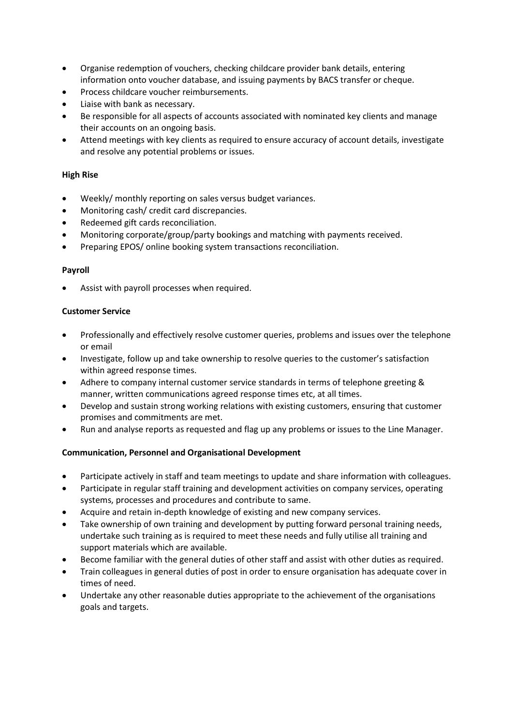- Organise redemption of vouchers, checking childcare provider bank details, entering information onto voucher database, and issuing payments by BACS transfer or cheque.
- Process childcare voucher reimbursements.
- Liaise with bank as necessary.
- Be responsible for all aspects of accounts associated with nominated key clients and manage their accounts on an ongoing basis.
- Attend meetings with key clients as required to ensure accuracy of account details, investigate and resolve any potential problems or issues.

### **High Rise**

- Weekly/ monthly reporting on sales versus budget variances.
- Monitoring cash/ credit card discrepancies.
- Redeemed gift cards reconciliation.
- Monitoring corporate/group/party bookings and matching with payments received.
- Preparing EPOS/ online booking system transactions reconciliation.

### **Payroll**

Assist with payroll processes when required.

### **Customer Service**

- Professionally and effectively resolve customer queries, problems and issues over the telephone or email
- Investigate, follow up and take ownership to resolve queries to the customer's satisfaction within agreed response times.
- Adhere to company internal customer service standards in terms of telephone greeting & manner, written communications agreed response times etc, at all times.
- Develop and sustain strong working relations with existing customers, ensuring that customer promises and commitments are met.
- Run and analyse reports as requested and flag up any problems or issues to the Line Manager.

### **Communication, Personnel and Organisational Development**

- Participate actively in staff and team meetings to update and share information with colleagues.
- Participate in regular staff training and development activities on company services, operating systems, processes and procedures and contribute to same.
- Acquire and retain in-depth knowledge of existing and new company services.
- Take ownership of own training and development by putting forward personal training needs, undertake such training as is required to meet these needs and fully utilise all training and support materials which are available.
- Become familiar with the general duties of other staff and assist with other duties as required.
- Train colleagues in general duties of post in order to ensure organisation has adequate cover in times of need.
- Undertake any other reasonable duties appropriate to the achievement of the organisations goals and targets.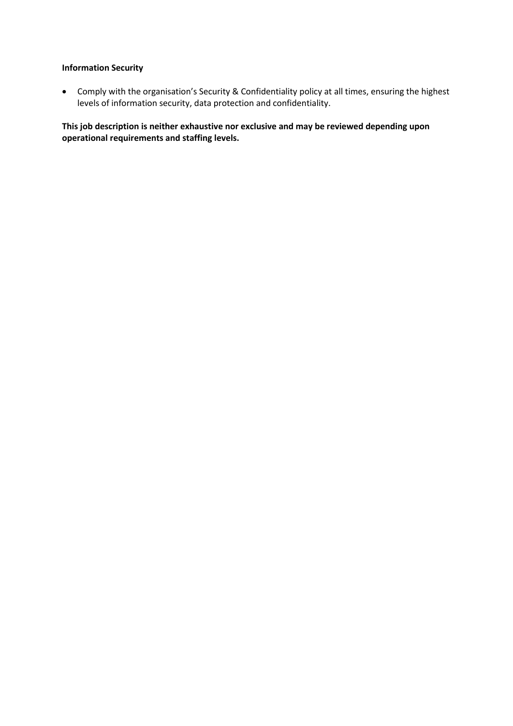### **Information Security**

• Comply with the organisation's Security & Confidentiality policy at all times, ensuring the highest levels of information security, data protection and confidentiality.

**This job description is neither exhaustive nor exclusive and may be reviewed depending upon operational requirements and staffing levels.**